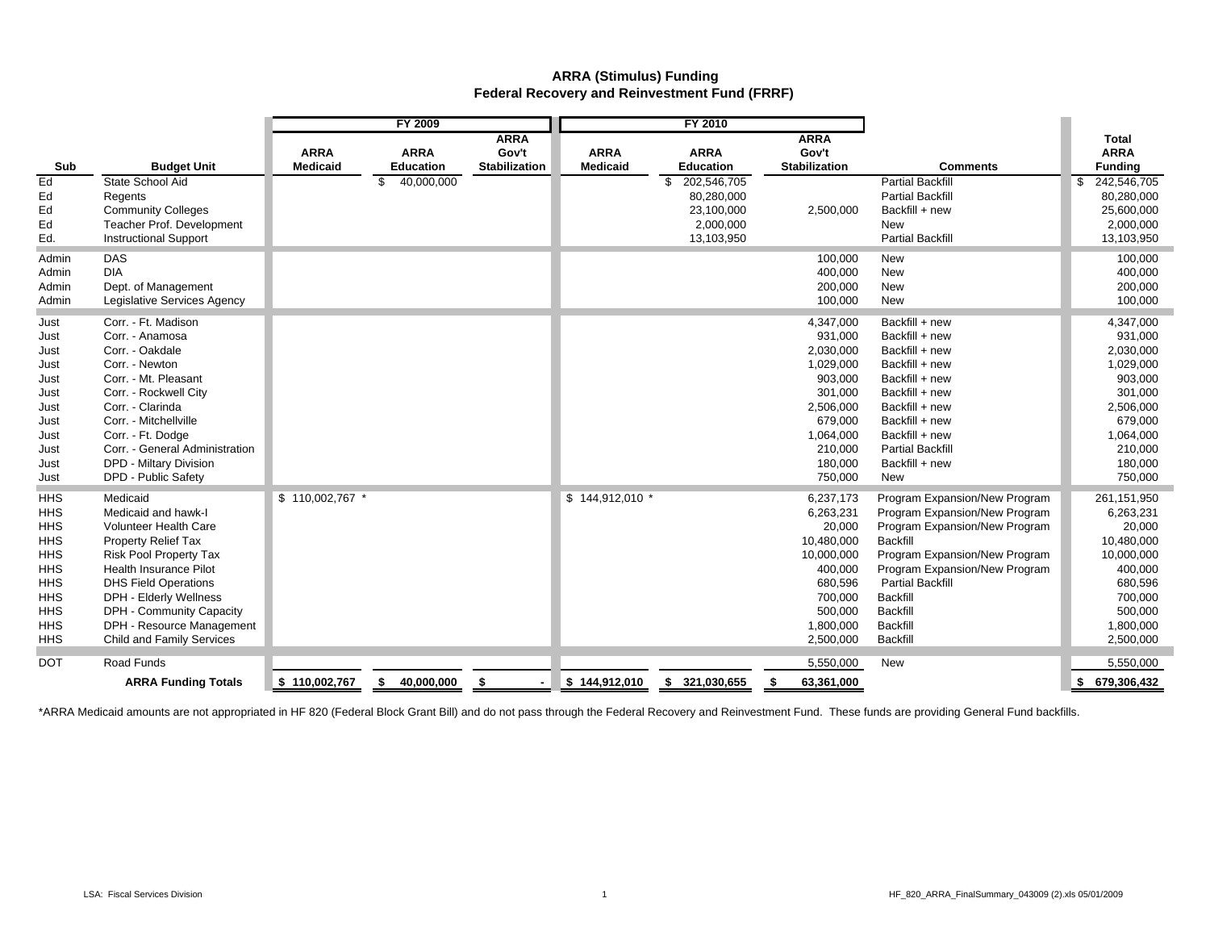## **ARRA (Stimulus) Funding Federal Recovery and Reinvestment Fund (FRRF)**

|            |                                | <b>FY 2009</b>                 |                                 |                                              | FY 2010                        |                                 |                                              |                               |                                               |
|------------|--------------------------------|--------------------------------|---------------------------------|----------------------------------------------|--------------------------------|---------------------------------|----------------------------------------------|-------------------------------|-----------------------------------------------|
| Sub        | <b>Budget Unit</b>             | <b>ARRA</b><br><b>Medicaid</b> | <b>ARRA</b><br><b>Education</b> | <b>ARRA</b><br>Gov't<br><b>Stabilization</b> | <b>ARRA</b><br><b>Medicaid</b> | <b>ARRA</b><br><b>Education</b> | <b>ARRA</b><br>Gov't<br><b>Stabilization</b> | <b>Comments</b>               | <b>Total</b><br><b>ARRA</b><br><b>Funding</b> |
| Ed         | State School Aid               |                                | 40,000,000<br>\$                |                                              |                                | 202,546,705<br>\$               |                                              | <b>Partial Backfill</b>       | 242,546,705<br>\$                             |
| Ed         | Regents                        |                                |                                 |                                              |                                | 80,280,000                      |                                              | <b>Partial Backfill</b>       | 80,280,000                                    |
| Ed         | <b>Community Colleges</b>      |                                |                                 |                                              |                                | 23,100,000                      | 2,500,000                                    | Backfill + new                | 25,600,000                                    |
| Ed         | Teacher Prof. Development      |                                |                                 |                                              |                                | 2,000,000                       |                                              | New                           | 2,000,000                                     |
| Ed.        | <b>Instructional Support</b>   |                                |                                 |                                              |                                | 13,103,950                      |                                              | <b>Partial Backfill</b>       | 13,103,950                                    |
| Admin      | <b>DAS</b>                     |                                |                                 |                                              |                                |                                 | 100,000                                      | New                           | 100,000                                       |
| Admin      | <b>DIA</b>                     |                                |                                 |                                              |                                |                                 | 400,000                                      | New                           | 400,000                                       |
| Admin      | Dept. of Management            |                                |                                 |                                              |                                |                                 | 200,000                                      | <b>New</b>                    | 200,000                                       |
| Admin      | Legislative Services Agency    |                                |                                 |                                              |                                |                                 | 100,000                                      | <b>New</b>                    | 100,000                                       |
| Just       | Corr. - Ft. Madison            |                                |                                 |                                              |                                |                                 | 4,347,000                                    | Backfill + new                | 4,347,000                                     |
| Just       | Corr. - Anamosa                |                                |                                 |                                              |                                |                                 | 931.000                                      | Backfill + new                | 931,000                                       |
| Just       | Corr. - Oakdale                |                                |                                 |                                              |                                |                                 | 2,030,000                                    | Backfill + new                | 2,030,000                                     |
| Just       | Corr. - Newton                 |                                |                                 |                                              |                                |                                 | 1,029,000                                    | Backfill + new                | 1,029,000                                     |
| Just       | Corr. - Mt. Pleasant           |                                |                                 |                                              |                                |                                 | 903,000                                      | Backfill + new                | 903,000                                       |
| Just       | Corr. - Rockwell City          |                                |                                 |                                              |                                |                                 | 301,000                                      | Backfill + new                | 301,000                                       |
| Just       | Corr. - Clarinda               |                                |                                 |                                              |                                |                                 | 2,506,000                                    | Backfill + new                | 2,506,000                                     |
| Just       | Corr. - Mitchellville          |                                |                                 |                                              |                                |                                 | 679,000                                      | Backfill + new                | 679,000                                       |
| Just       | Corr. - Ft. Dodge              |                                |                                 |                                              |                                |                                 | 1,064,000                                    | Backfill + new                | 1,064,000                                     |
| Just       | Corr. - General Administration |                                |                                 |                                              |                                |                                 | 210,000                                      | <b>Partial Backfill</b>       | 210,000                                       |
| Just       | DPD - Miltary Division         |                                |                                 |                                              |                                |                                 | 180,000                                      | Backfill + new                | 180,000                                       |
| Just       | DPD - Public Safety            |                                |                                 |                                              |                                |                                 | 750,000                                      | <b>New</b>                    | 750,000                                       |
| <b>HHS</b> | Medicaid                       | \$110,002,767 *                |                                 |                                              | \$144,912,010 *                |                                 | 6.237.173                                    | Program Expansion/New Program | 261,151,950                                   |
| <b>HHS</b> | Medicaid and hawk-I            |                                |                                 |                                              |                                |                                 | 6,263,231                                    | Program Expansion/New Program | 6,263,231                                     |
| <b>HHS</b> | <b>Volunteer Health Care</b>   |                                |                                 |                                              |                                |                                 | 20,000                                       | Program Expansion/New Program | 20,000                                        |
| <b>HHS</b> | <b>Property Relief Tax</b>     |                                |                                 |                                              |                                |                                 | 10,480,000                                   | <b>Backfill</b>               | 10,480,000                                    |
| <b>HHS</b> | <b>Risk Pool Property Tax</b>  |                                |                                 |                                              |                                |                                 | 10,000,000                                   | Program Expansion/New Program | 10,000,000                                    |
| <b>HHS</b> | Health Insurance Pilot         |                                |                                 |                                              |                                |                                 | 400,000                                      | Program Expansion/New Program | 400,000                                       |
| <b>HHS</b> | <b>DHS Field Operations</b>    |                                |                                 |                                              |                                |                                 | 680,596                                      | <b>Partial Backfill</b>       | 680,596                                       |
| <b>HHS</b> | DPH - Elderly Wellness         |                                |                                 |                                              |                                |                                 | 700,000                                      | <b>Backfill</b>               | 700,000                                       |
| <b>HHS</b> | DPH - Community Capacity       |                                |                                 |                                              |                                |                                 | 500,000                                      | <b>Backfill</b>               | 500,000                                       |
| <b>HHS</b> | DPH - Resource Management      |                                |                                 |                                              |                                |                                 | 1,800,000                                    | <b>Backfill</b>               | 1,800,000                                     |
| <b>HHS</b> | Child and Family Services      |                                |                                 |                                              |                                |                                 | 2,500,000                                    | <b>Backfill</b>               | 2,500,000                                     |
| <b>DOT</b> | Road Funds                     |                                |                                 |                                              |                                |                                 | 5,550,000                                    | <b>New</b>                    | 5,550,000                                     |
|            | <b>ARRA Funding Totals</b>     | \$110,002,767                  | \$ 40,000,000                   | \$                                           | \$144,912,010                  | \$ 321,030,655                  | 63,361,000<br>\$                             |                               | \$679,306,432                                 |

\*ARRA Medicaid amounts are not appropriated in HF 820 (Federal Block Grant Bill) and do not pass through the Federal Recovery and Reinvestment Fund. These funds are providing General Fund backfills.